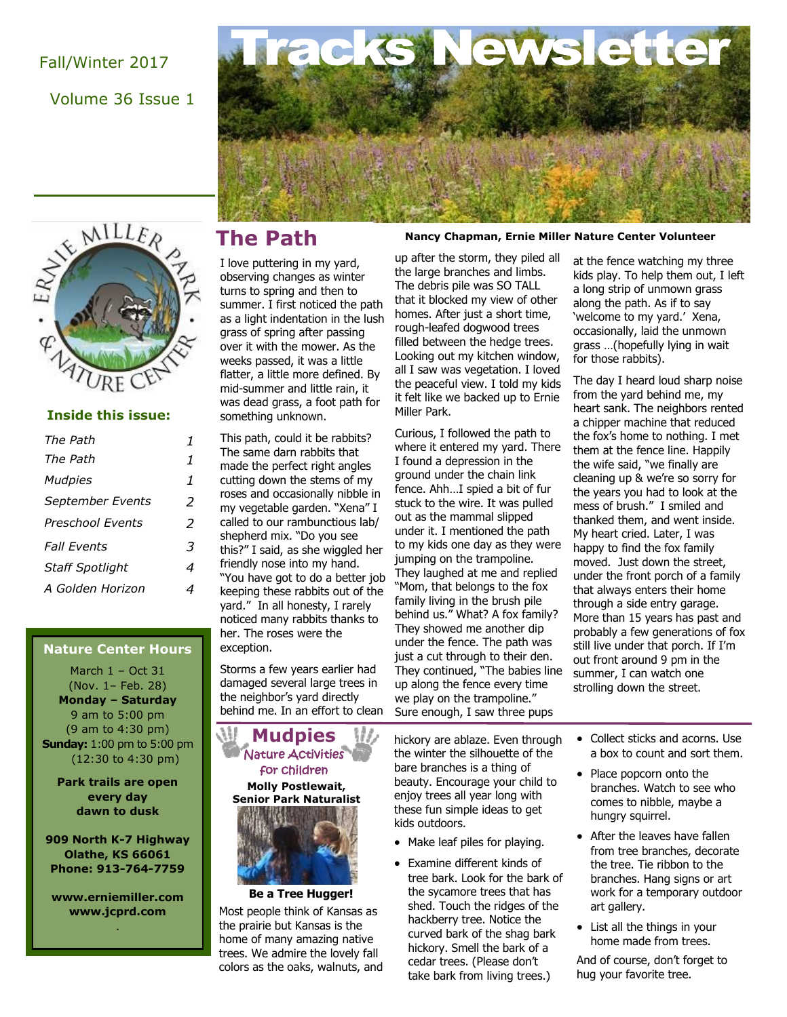### Fall/Winter 2017

Volume 36 Issue 1



#### **Inside this issue:**

| The Path                |   |
|-------------------------|---|
| The Path                | 1 |
| <b>Mudpies</b>          | 1 |
| September Events        | 2 |
| <b>Preschool Events</b> | 2 |
| <b>Fall Fyents</b>      | 3 |
| <b>Staff Spotlight</b>  | 4 |
| A Golden Horizon        |   |

#### **Nature Center Hours**

March 1 – Oct 31 (Nov. 1– Feb. 28) **Monday – Saturday**  9 am to 5:00 pm (9 am to 4:30 pm) **Sunday:** 1:00 pm to 5:00 pm (12:30 to 4:30 pm)

**Park trails are open every day dawn to dusk**

**909 North K-7 Highway Olathe, KS 66061 Phone: 913-764-7759**

**www.erniemiller.com www.jcprd.com** .

I love puttering in my yard, observing changes as winter turns to spring and then to summer. I first noticed the path as a light indentation in the lush grass of spring after passing over it with the mower. As the weeks passed, it was a little flatter, a little more defined. By mid-summer and little rain, it was dead grass, a foot path for something unknown.

acks

This path, could it be rabbits? The same darn rabbits that made the perfect right angles cutting down the stems of my roses and occasionally nibble in my vegetable garden. "Xena" I called to our rambunctious lab/ shepherd mix. "Do you see this?" I said, as she wiggled her friendly nose into my hand. "You have got to do a better job keeping these rabbits out of the yard." In all honesty, I rarely noticed many rabbits thanks to her. The roses were the exception.

Storms a few years earlier had damaged several large trees in the neighbor's yard directly behind me. In an effort to clean

**Mudpies Molly Postlewait, Senior Park Naturalist** Nature Activities for children

**Be a Tree Hugger!**

Most people think of Kansas as the prairie but Kansas is the home of many amazing native trees. We admire the lovely fall colors as the oaks, walnuts, and

#### **Ernie Miller Nature Center and Park The Path Nancy Chapman, Ernie Miller Nature Center Volunteer**

up after the storm, they piled all the large branches and limbs. The debris pile was SO TALL that it blocked my view of other homes. After just a short time, rough-leafed dogwood trees filled between the hedge trees. Looking out my kitchen window, all I saw was vegetation. I loved the peaceful view. I told my kids it felt like we backed up to Ernie Miller Park.

NA

Curious, I followed the path to where it entered my yard. There I found a depression in the ground under the chain link fence. Ahh…I spied a bit of fur stuck to the wire. It was pulled out as the mammal slipped under it. I mentioned the path to my kids one day as they were jumping on the trampoline. They laughed at me and replied "Mom, that belongs to the fox family living in the brush pile behind us." What? A fox family? They showed me another dip under the fence. The path was just a cut through to their den. They continued, "The babies line up along the fence every time we play on the trampoline." Sure enough, I saw three pups

hickory are ablaze. Even through the winter the silhouette of the bare branches is a thing of beauty. Encourage your child to enjoy trees all year long with these fun simple ideas to get kids outdoors.

- Make leaf piles for playing.
- Examine different kinds of tree bark. Look for the bark of the sycamore trees that has shed. Touch the ridges of the hackberry tree. Notice the curved bark of the shag bark hickory. Smell the bark of a cedar trees. (Please don't take bark from living trees.)

at the fence watching my three kids play. To help them out, I left a long strip of unmown grass along the path. As if to say 'welcome to my yard.' Xena, occasionally, laid the unmown grass …(hopefully lying in wait for those rabbits).

The day I heard loud sharp noise from the yard behind me, my heart sank. The neighbors rented a chipper machine that reduced the fox's home to nothing. I met them at the fence line. Happily the wife said, "we finally are cleaning up & we're so sorry for the years you had to look at the mess of brush." I smiled and thanked them, and went inside. My heart cried. Later, I was happy to find the fox family moved. Just down the street, under the front porch of a family that always enters their home through a side entry garage. More than 15 years has past and probably a few generations of fox still live under that porch. If I'm out front around 9 pm in the summer, I can watch one strolling down the street.

• Collect sticks and acorns. Use a box to count and sort them.

- Place popcorn onto the branches. Watch to see who comes to nibble, maybe a hungry squirrel.
- After the leaves have fallen from tree branches, decorate the tree. Tie ribbon to the branches. Hang signs or art work for a temporary outdoor art gallery.
- List all the things in your home made from trees.

And of course, don't forget to hug your favorite tree.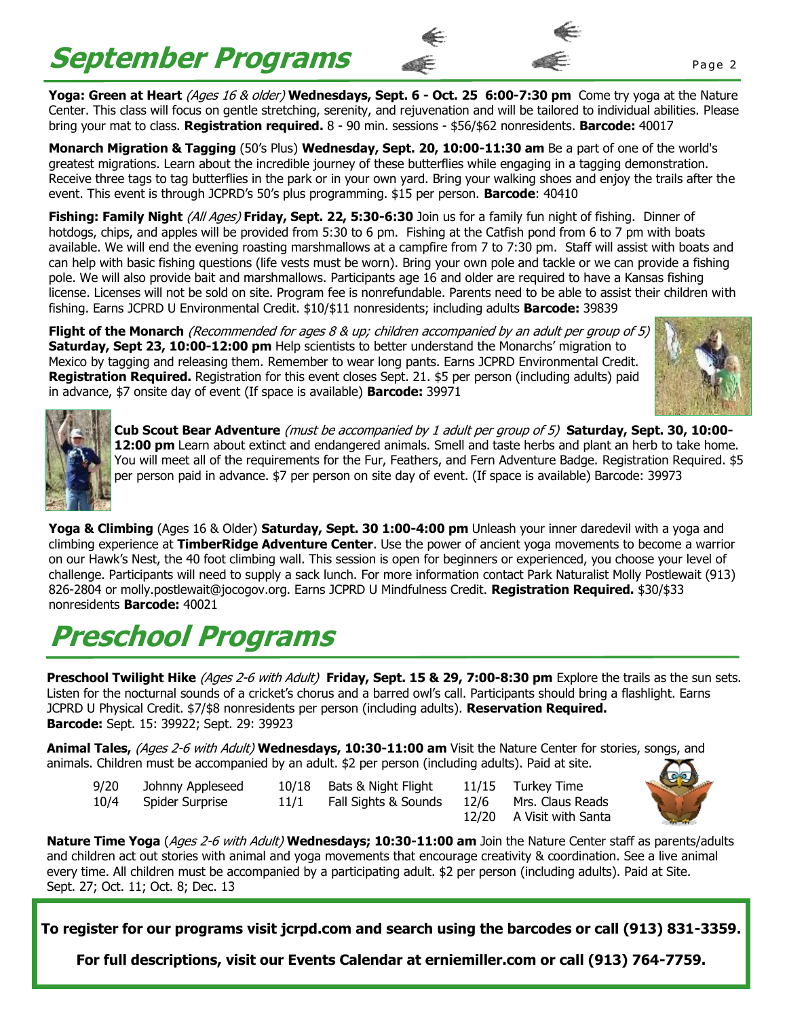# **September Programs**



**Yoga: Green at Heart** (Ages 16 & older) **Wednesdays, Sept. 6 - Oct. 25 6:00-7:30 pm** Come try yoga at the Nature Center. This class will focus on gentle stretching, serenity, and rejuvenation and will be tailored to individual abilities. Please bring your mat to class. **Registration required.** 8 - 90 min. sessions - \$56/\$62 nonresidents. **Barcode:** 40017

**Monarch Migration & Tagging** (50's Plus) **Wednesday, Sept. 20, 10:00-11:30 am** Be a part of one of the world's greatest migrations. Learn about the incredible journey of these butterflies while engaging in a tagging demonstration. Receive three tags to tag butterflies in the park or in your own yard. Bring your walking shoes and enjoy the trails after the event. This event is through JCPRD's 50's plus programming. \$15 per person. **Barcode**: 40410

**Fishing: Family Night** (All Ages) **Friday, Sept. 22, 5:30-6:30** Join us for a family fun night of fishing. Dinner of hotdogs, chips, and apples will be provided from 5:30 to 6 pm. Fishing at the Catfish pond from 6 to 7 pm with boats available. We will end the evening roasting marshmallows at a campfire from 7 to 7:30 pm. Staff will assist with boats and can help with basic fishing questions (life vests must be worn). Bring your own pole and tackle or we can provide a fishing pole. We will also provide bait and marshmallows. Participants age 16 and older are required to have a Kansas fishing license. Licenses will not be sold on site. Program fee is nonrefundable. Parents need to be able to assist their children with fishing. Earns JCPRD U Environmental Credit. \$10/\$11 nonresidents; including adults **Barcode:** 39839

**Flight of the Monarch** (Recommended for ages 8 & up; children accompanied by an adult per group of 5) **Saturday, Sept 23, 10:00-12:00 pm** Help scientists to better understand the Monarchs' migration to Mexico by tagging and releasing them. Remember to wear long pants. Earns JCPRD Environmental Credit. **Registration Required.** Registration for this event closes Sept. 21. \$5 per person (including adults) paid in advance, \$7 onsite day of event (If space is available) **Barcode:** 39971





**Cub Scout Bear Adventure** (must be accompanied by 1 adult per group of 5) **Saturday, Sept. 30, 10:00- 12:00 pm** Learn about extinct and endangered animals. Smell and taste herbs and plant an herb to take home. You will meet all of the requirements for the Fur, Feathers, and Fern Adventure Badge. Registration Required. \$5 per person paid in advance. \$7 per person on site day of event. (If space is available) Barcode: 39973

**Yoga & Climbing** (Ages 16 & Older) **Saturday, Sept. 30 1:00-4:00 pm** Unleash your inner daredevil with a yoga and climbing experience at **TimberRidge Adventure Center**. Use the power of ancient yoga movements to become a warrior on our Hawk's Nest, the 40 foot climbing wall. This session is open for beginners or experienced, you choose your level of challenge. Participants will need to supply a sack lunch. For more information contact Park Naturalist Molly Postlewait (913) 826-2804 or molly.postlewait@jocogov.org. Earns JCPRD U Mindfulness Credit. **Registration Required.** \$30/\$33 nonresidents **Barcode:** 40021

# **Preschool Programs**

**Preschool Twilight Hike** (Ages 2-6 with Adult) **Friday, Sept. 15 & 29, 7:00-8:30 pm** Explore the trails as the sun sets. Listen for the nocturnal sounds of a cricket's chorus and a barred owl's call. Participants should bring a flashlight. Earns JCPRD U Physical Credit. \$7/\$8 nonresidents per person (including adults). **Reservation Required. Barcode:** Sept. 15: 39922; Sept. 29: 39923

**Animal Tales,** (Ages 2-6 with Adult) **Wednesdays, 10:30-11:00 am** Visit the Nature Center for stories, songs, and animals. Children must be accompanied by an adult. \$2 per person (including adults). Paid at site.

- -

9/20 Johnny Appleseed 10/18 Bats & Night Flight 11/15 Turkey Time 10/4 Spider Surprise 11/1 Fall Sights & Sounds 12/6 Mrs. Claus Reads

12/20 A Visit with Santa



**Nature Time Yoga** (Ages 2-6 with Adult) **Wednesdays; 10:30-11:00 am** Join the Nature Center staff as parents/adults and children act out stories with animal and yoga movements that encourage creativity & coordination. See a live animal every time. All children must be accompanied by a participating adult. \$2 per person (including adults). Paid at Site. Sept. 27; Oct. 11; Oct. 8; Dec. 13

**To register for our programs visit jcrpd.com and search using the barcodes or call (913) 831-3359.**

**For full descriptions, visit our Events Calendar at erniemiller.com or call (913) 764-7759.**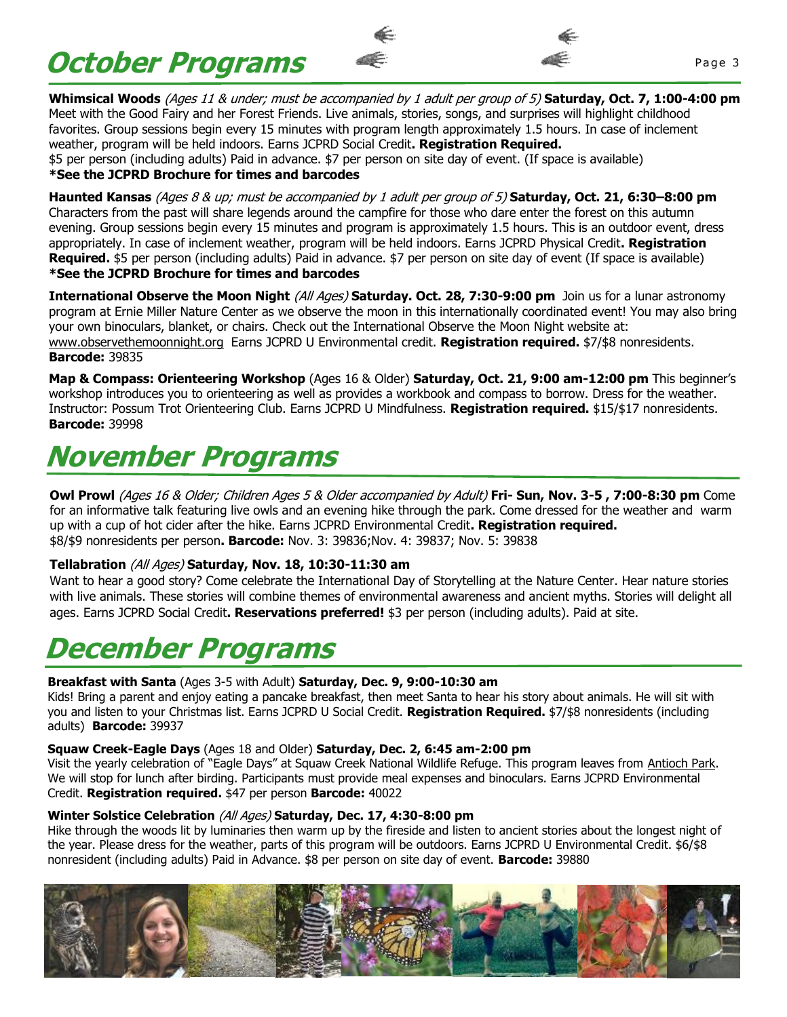**October Programs**  $\bullet$  **Programs** 



**Whimsical Woods** (Ages 11 & under; must be accompanied by 1 adult per group of 5) **Saturday, Oct. 7, 1:00-4:00 pm** Meet with the Good Fairy and her Forest Friends. Live animals, stories, songs, and surprises will highlight childhood favorites. Group sessions begin every 15 minutes with program length approximately 1.5 hours. In case of inclement weather, program will be held indoors. Earns JCPRD Social Credit**. Registration Required.**  \$5 per person (including adults) Paid in advance. \$7 per person on site day of event. (If space is available) **\*See the JCPRD Brochure for times and barcodes**

**Haunted Kansas** (Ages 8 & up; must be accompanied by 1 adult per group of 5) **Saturday, Oct. 21, 6:30–8:00 pm**  Characters from the past will share legends around the campfire for those who dare enter the forest on this autumn evening. Group sessions begin every 15 minutes and program is approximately 1.5 hours. This is an outdoor event, dress appropriately. In case of inclement weather, program will be held indoors. Earns JCPRD Physical Credit**. Registration Required.** \$5 per person (including adults) Paid in advance. \$7 per person on site day of event (If space is available) **\*See the JCPRD Brochure for times and barcodes**

**International Observe the Moon Night** (All Ages) **Saturday. Oct. 28, 7:30-9:00 pm** Join us for a lunar astronomy program at Ernie Miller Nature Center as we observe the moon in this internationally coordinated event! You may also bring your own binoculars, blanket, or chairs. Check out the International Observe the Moon Night website at: [www.observethemoonnight.org](http://www.observethemoonnight.org) Earns JCPRD U Environmental credit. **Registration required.** \$7/\$8 nonresidents. **Barcode:** 39835

**Map & Compass: Orienteering Workshop** (Ages 16 & Older) **Saturday, Oct. 21, 9:00 am-12:00 pm** This beginner's workshop introduces you to orienteering as well as provides a workbook and compass to borrow. Dress for the weather. Instructor: Possum Trot Orienteering Club. Earns JCPRD U Mindfulness. **Registration required.** \$15/\$17 nonresidents. **Barcode:** 39998

## **November Programs**

**Owl Prowl** (Ages 16 & Older; Children Ages 5 & Older accompanied by Adult) **Fri- Sun, Nov. 3-5 , 7:00-8:30 pm** Come for an informative talk featuring live owls and an evening hike through the park. Come dressed for the weather and warm up with a cup of hot cider after the hike. Earns JCPRD Environmental Credit**. Registration required.**  \$8/\$9 nonresidents per person**. Barcode:** Nov. 3: 39836;Nov. 4: 39837; Nov. 5: 39838 

#### **Tellabration** (All Ages) **Saturday, Nov. 18, 10:30-11:30 am**

Want to hear a good story? Come celebrate the International Day of Storytelling at the Nature Center. Hear nature stories with live animals. These stories will combine themes of environmental awareness and ancient myths. Stories will delight all ages. Earns JCPRD Social Credit**. Reservations preferred!** \$3 per person (including adults). Paid at site.

## **December Programs**

#### **Breakfast with Santa** (Ages 3-5 with Adult) **Saturday, Dec. 9, 9:00-10:30 am**

Kids! Bring a parent and enjoy eating a pancake breakfast, then meet Santa to hear his story about animals. He will sit with you and listen to your Christmas list. Earns JCPRD U Social Credit. **Registration Required.** \$7/\$8 nonresidents (including adults) **Barcode:** 39937

#### **Squaw Creek-Eagle Days** (Ages 18 and Older) **Saturday, Dec. 2, 6:45 am-2:00 pm**

Visit the yearly celebration of "Eagle Days" at Squaw Creek National Wildlife Refuge. This program leaves from Antioch Park. We will stop for lunch after birding. Participants must provide meal expenses and binoculars. Earns JCPRD Environmental Credit. **Registration required.** \$47 per person **Barcode:** 40022

#### **Winter Solstice Celebration** (All Ages) **Saturday, Dec. 17, 4:30-8:00 pm**

Hike through the woods lit by luminaries then warm up by the fireside and listen to ancient stories about the longest night of the year. Please dress for the weather, parts of this program will be outdoors. Earns JCPRD U Environmental Credit. \$6/\$8 nonresident (including adults) Paid in Advance. \$8 per person on site day of event. **Barcode:** 39880